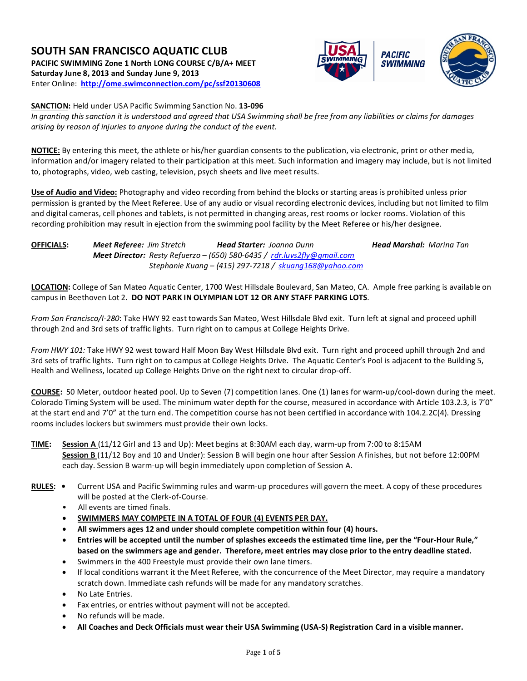# **SOUTH SAN FRANCISCO AQUATIC CLUB PACIFIC SWIMMING Zone 1 North LONG COURSE C/B/A+ MEET Saturday June 8, 2013 and Sunday June 9, 2013** Enter Online: **<http://ome.swimconnection.com/pc/ssf20130608>**



**SANCTION:** Held under USA Pacific Swimming Sanction No. **13-096**

*In granting this sanction it is understood and agreed that USA Swimming shall be free from any liabilities or claims for damages arising by reason of injuries to anyone during the conduct of the event.*

**NOTICE:** By entering this meet, the athlete or his/her guardian consents to the publication, via electronic, print or other media, information and/or imagery related to their participation at this meet. Such information and imagery may include, but is not limited to, photographs, video, web casting, television, psych sheets and live meet results.

**Use of Audio and Video:** Photography and video recording from behind the blocks or starting areas is prohibited unless prior permission is granted by the Meet Referee. Use of any audio or visual recording electronic devices, including but not limited to film and digital cameras, cell phones and tablets, is not permitted in changing areas, rest rooms or locker rooms. Violation of this recording prohibition may result in ejection from the swimming pool facility by the Meet Referee or his/her designee.

**OFFICIALS:** *Meet Referee: Jim Stretch Head Starter: Joanna Dunn Head Marshal: Marina Tan Meet Director: Resty Refuerzo – (650) 580-6435 / [rdr.luvs2fly@gmail.com](mailto:rdr.luvs2fly@gmail.com) Stephanie Kuang – (415) 297-7218 / [skuang168@yahoo.com](mailto:skuang168@yahoo.com)*

**LOCATION:** College of San Mateo Aquatic Center, 1700 West Hillsdale Boulevard, San Mateo, CA. Ample free parking is available on campus in Beethoven Lot 2. **DO NOT PARK IN OLYMPIAN LOT 12 OR ANY STAFF PARKING LOTS**.

*From San Francisco/I-280*: Take HWY 92 east towards San Mateo, West Hillsdale Blvd exit. Turn left at signal and proceed uphill through 2nd and 3rd sets of traffic lights. Turn right on to campus at College Heights Drive.

*From HWY 101:* Take HWY 92 west toward Half Moon Bay West Hillsdale Blvd exit. Turn right and proceed uphill through 2nd and 3rd sets of traffic lights. Turn right on to campus at College Heights Drive. The Aquatic Center's Pool is adjacent to the Building 5, Health and Wellness, located up College Heights Drive on the right next to circular drop-off.

**COURSE:** 50 Meter, outdoor heated pool. Up to Seven (7) competition lanes. One (1) lanes for warm-up/cool-down during the meet. Colorado Timing System will be used. The minimum water depth for the course, measured in accordance with Article 103.2.3, is 7'0" at the start end and 7'0" at the turn end. The competition course has not been certified in accordance with 104.2.2C(4). Dressing rooms includes lockers but swimmers must provide their own locks.

**TIME: Session A** (11/12 Girl and 13 and Up): Meet begins at 8:30AM each day, warm-up from 7:00 to 8:15AM **Session B** (11/12 Boy and 10 and Under): Session B will begin one hour after Session A finishes, but not before 12:00PM each day. Session B warm-up will begin immediately upon completion of Session A.

- **RULES:** Current USA and Pacific Swimming rules and warm-up procedures will govern the meet. A copy of these procedures will be posted at the Clerk-of-Course.
	- All events are timed finals.
	- **SWIMMERS MAY COMPETE IN A TOTAL OF FOUR (4) EVENTS PER DAY.**
	- **All swimmers ages 12 and under should complete competition within four (4) hours.**
	- **Entries will be accepted until the number of splashes exceeds the estimated time line, per the "Four-Hour Rule," based on the swimmers age and gender. Therefore, meet entries may close prior to the entry deadline stated.**
	- Swimmers in the 400 Freestyle must provide their own lane timers.
	- If local conditions warrant it the Meet Referee, with the concurrence of the Meet Director, may require a mandatory scratch down. Immediate cash refunds will be made for any mandatory scratches.
	- No Late Entries.
	- Fax entries, or entries without payment will not be accepted.
	- No refunds will be made.
	- **All Coaches and Deck Officials must wear their USA Swimming (USA-S) Registration Card in a visible manner.**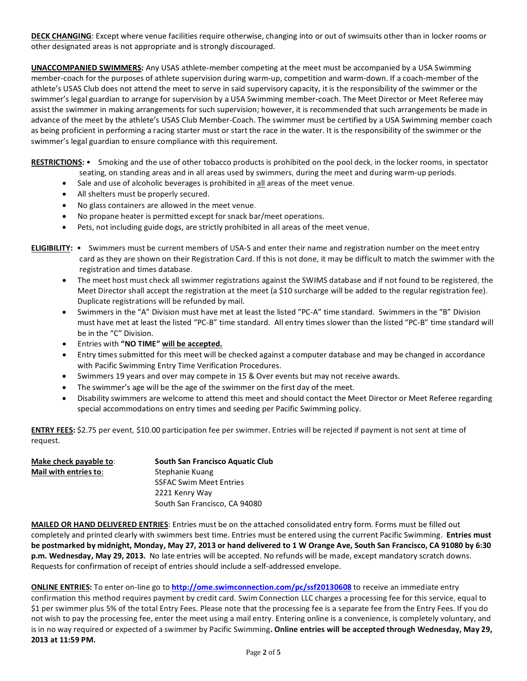**DECK CHANGING**: Except where venue facilities require otherwise, changing into or out of swimsuits other than in locker rooms or other designated areas is not appropriate and is strongly discouraged.

**UNACCOMPANIED SWIMMERS:** Any USAS athlete-member competing at the meet must be accompanied by a USA Swimming member-coach for the purposes of athlete supervision during warm-up, competition and warm-down. If a coach-member of the athlete's USAS Club does not attend the meet to serve in said supervisory capacity, it is the responsibility of the swimmer or the swimmer's legal guardian to arrange for supervision by a USA Swimming member-coach. The Meet Director or Meet Referee may assist the swimmer in making arrangements for such supervision; however, it is recommended that such arrangements be made in advance of the meet by the athlete's USAS Club Member-Coach. The swimmer must be certified by a USA Swimming member coach as being proficient in performing a racing starter must or start the race in the water. It is the responsibility of the swimmer or the swimmer's legal guardian to ensure compliance with this requirement.

**RESTRICTIONS:** • Smoking and the use of other tobacco products is prohibited on the pool deck, in the locker rooms, in spectator seating, on standing areas and in all areas used by swimmers, during the meet and during warm-up periods.

- Sale and use of alcoholic beverages is prohibited in all areas of the meet venue.
- All shelters must be properly secured.
- No glass containers are allowed in the meet venue.
- No propane heater is permitted except for snack bar/meet operations.
- Pets, not including guide dogs, are strictly prohibited in all areas of the meet venue.

**ELIGIBILITY:** • Swimmers must be current members of USA-S and enter their name and registration number on the meet entry card as they are shown on their Registration Card. If this is not done, it may be difficult to match the swimmer with the registration and times database.

- The meet host must check all swimmer registrations against the SWIMS database and if not found to be registered, the Meet Director shall accept the registration at the meet (a \$10 surcharge will be added to the regular registration fee). Duplicate registrations will be refunded by mail.
- Swimmers in the "A" Division must have met at least the listed "PC-A" time standard. Swimmers in the "B" Division must have met at least the listed "PC-B" time standard. All entry times slower than the listed "PC-B" time standard will be in the "C" Division.
- Entries with **"NO TIME" will be accepted.**
- Entry times submitted for this meet will be checked against a computer database and may be changed in accordance with Pacific Swimming Entry Time Verification Procedures.
- Swimmers 19 years and over may compete in 15 & Over events but may not receive awards.
- The swimmer's age will be the age of the swimmer on the first day of the meet.
- Disability swimmers are welcome to attend this meet and should contact the Meet Director or Meet Referee regarding special accommodations on entry times and seeding per Pacific Swimming policy.

**ENTRY FEES:** \$2.75 per event, \$10.00 participation fee per swimmer. Entries will be rejected if payment is not sent at time of request.

| Make check payable to: | South San Francisco Aquatic Club |
|------------------------|----------------------------------|
| Mail with entries to:  | Stephanie Kuang                  |
|                        | <b>SSFAC Swim Meet Entries</b>   |
|                        | 2221 Kenry Way                   |
|                        | South San Francisco, CA 94080    |

**MAILED OR HAND DELIVERED ENTRIES**: Entries must be on the attached consolidated entry form. Forms must be filled out completely and printed clearly with swimmers best time. Entries must be entered using the current Pacific Swimming. **Entries must be postmarked by midnight, Monday, May 27, 2013 or hand delivered to 1 W Orange Ave, South San Francisco, CA 91080 by 6:30 p.m. Wednesday, May 29, 2013.** No late entries will be accepted. No refunds will be made, except mandatory scratch downs. Requests for confirmation of receipt of entries should include a self-addressed envelope.

**ONLINE ENTRIES:** To enter on-line go to **<http://ome.swimconnection.com/pc/ssf20130608>** to receive an immediate entry confirmation this method requires payment by credit card. Swim Connection LLC charges a processing fee for this service, equal to \$1 per swimmer plus 5% of the total Entry Fees. Please note that the processing fee is a separate fee from the Entry Fees. If you do not wish to pay the processing fee, enter the meet using a mail entry. Entering online is a convenience, is completely voluntary, and is in no way required or expected of a swimmer by Pacific Swimming**. Online entries will be accepted through Wednesday, May 29, 2013 at 11:59 PM.**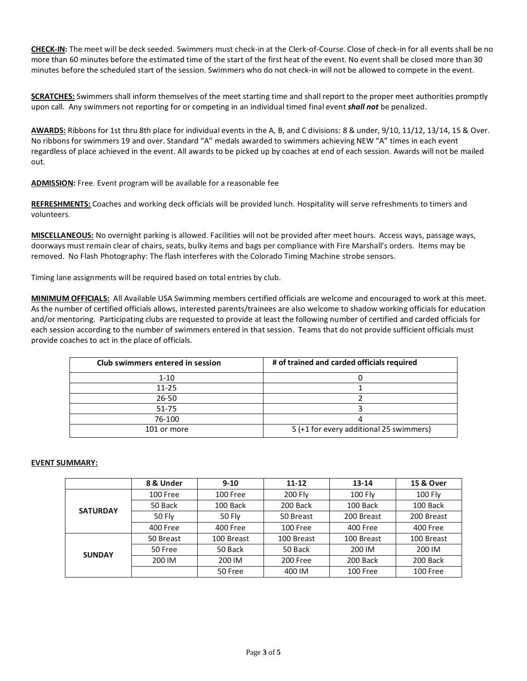**CHECK-IN:** The meet will be deck seeded. Swimmers must check-in at the Clerk-of-Course. Close of check-in for all events shall be no more than 60 minutes before the estimated time of the start of the first heat of the event. No event shall be closed more than 30 minutes before the scheduled start of the session. Swimmers who do not check-in will not be allowed to compete in the event.

**SCRATCHES:** Swimmers shall inform themselves of the meet starting time and shall report to the proper meet authorities promptly upon call. Any swimmers not reporting for or competing in an individual timed final event *shall not* be penalized.

**AWARDS:** Ribbons for 1st thru 8th place for individual events in the A, B, and C divisions: 8 & under, 9/10, 11/12, 13/14, 15 & Over. No ribbons for swimmers 19 and over. Standard "A" medals awarded to swimmers achieving NEW "A" times in each event regardless of place achieved in the event. All awards to be picked up by coaches at end of each session. Awards will not be mailed out.

ADMISSION: Free. Event program will be available for a reasonable fee

**REFRESHMENTS:** Coaches and working deck officials will be provided lunch. Hospitality will serve refreshments to timers and volunteers.

**MISCELLANEOUS:** No overnight parking is allowed. Facilities will not be provided after meet hours. Access ways, passage ways, doorways must remain clear of chairs, seats, bulky items and bags per compliance with Fire Marshall's orders. Items may be removed. No Flash Photography: The flash interferes with the Colorado Timing Machine strobe sensors.

Timing lane assignments will be required based on total entries by club.

**MINIMUM OFFICIALS:** All Available USA Swimming members certified officials are welcome and encouraged to work at this meet. As the number of certified officials allows, interested parents/trainees are also welcome to shadow working officials for education and/or mentoring. Participating clubs are requested to provide at least the following number of certified and carded officials for each session according to the number of swimmers entered in that session. Teams that do not provide sufficient officials must provide coaches to act in the place of officials.

| Club swimmers entered in session | # of trained and carded officials required |
|----------------------------------|--------------------------------------------|
| $1 - 10$                         |                                            |
| $11 - 25$                        |                                            |
| $26 - 50$                        |                                            |
| $51 - 75$                        |                                            |
| 76-100                           |                                            |
| 101 or more                      | 5 (+1 for every additional 25 swimmers)    |

## **EVENT SUMMARY:**

|                 | 8 & Under     | $9 - 10$   | $11 - 12$  | $13 - 14$  | 15 & Over  |
|-----------------|---------------|------------|------------|------------|------------|
|                 | 100 Free      | 100 Free   | 200 Fly    | 100 Fly    | 100 Fly    |
|                 | 50 Back       | 100 Back   | 200 Back   | 100 Back   | 100 Back   |
| <b>SATURDAY</b> | <b>50 Fly</b> | 50 Fly     | 50 Breast  | 200 Breast | 200 Breast |
|                 | 400 Free      | 400 Free   | 100 Free   | 400 Free   | 400 Free   |
|                 | 50 Breast     | 100 Breast | 100 Breast | 100 Breast | 100 Breast |
| <b>SUNDAY</b>   | 50 Free       | 50 Back    | 50 Back    | 200 IM     | 200 IM     |
|                 | 200 IM        | 200 IM     | 200 Free   | 200 Back   | 200 Back   |
|                 |               | 50 Free    | 400 IM     | 100 Free   | 100 Free   |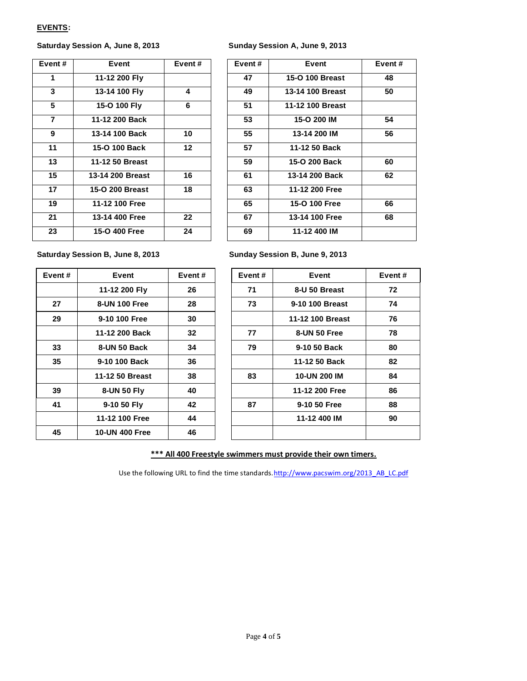### **EVENTS:**

## **Saturday Session A, June 8, 2013 Sunday Session A, June 9, 2013**

| Event $#$      | Event            | Event#  | Event# | Event            | Event# |
|----------------|------------------|---------|--------|------------------|--------|
| 1              | 11-12 200 Fly    |         | 47     | 15-O 100 Breast  | 48     |
| 3              | 13-14 100 Fly    | 4       | 49     | 13-14 100 Breast | 50     |
| 5              | 15-O 100 Fly     | 6       | 51     | 11-12 100 Breast |        |
| $\overline{7}$ | 11-12 200 Back   |         | 53     | 15-O 200 IM      | 54     |
| 9              | 13-14 100 Back   | 10      | 55     | 13-14 200 IM     | 56     |
| 11             | 15-O 100 Back    | 12      | 57     | 11-12 50 Back    |        |
| 13             | 11-12 50 Breast  |         | 59     | 15-O 200 Back    | 60     |
| 15             | 13-14 200 Breast | 16      | 61     | 13-14 200 Back   | 62     |
| 17             | 15-O 200 Breast  | 18      | 63     | 11-12 200 Free   |        |
| 19             | 11-12 100 Free   |         | 65     | 15-O 100 Free    | 66     |
| 21             | 13-14 400 Free   | $22 \,$ | 67     | 13-14 100 Free   | 68     |
| 23             | 15-O 400 Free    | 24      | 69     | 11-12 400 IM     |        |
|                |                  |         |        |                  |        |

| ent #                   | Event            | Event#  | Event# | Event            | Event $#$ |
|-------------------------|------------------|---------|--------|------------------|-----------|
| 1                       | 11-12 200 Fly    |         | 47     | 15-O 100 Breast  | 48        |
| 3                       | 13-14 100 Fly    | 4       | 49     | 13-14 100 Breast | 50        |
| 5                       | 15-O 100 Fly     | 6       | 51     | 11-12 100 Breast |           |
| $\overline{\mathbf{7}}$ | 11-12 200 Back   |         | 53     | 15-O 200 IM      | 54        |
| $\overline{\mathbf{g}}$ | 13-14 100 Back   | 10      | 55     | 13-14 200 IM     | 56        |
| $\overline{1}$          | 15-O 100 Back    | $12 \,$ | 57     | 11-12 50 Back    |           |
| $\overline{3}$          | 11-12 50 Breast  |         | 59     | 15-O 200 Back    | 60        |
| $\overline{5}$          | 13-14 200 Breast | 16      | 61     | 13-14 200 Back   | 62        |
| 17                      | 15-O 200 Breast  | 18      | 63     | 11-12 200 Free   |           |
| ۱9                      | 11-12 100 Free   |         | 65     | 15-O 100 Free    | 66        |
| 21                      | 13-14 400 Free   | 22      | 67     | 13-14 100 Free   | 68        |
| 23                      | 15-O 400 Free    | 24      | 69     | 11-12 400 IM     |           |
|                         |                  |         |        |                  |           |

Saturday Session B, June 8, 2013

| Event# | Event                 | Event# |
|--------|-----------------------|--------|
|        | 11-12 200 Fly         | 26     |
| 27     | 8-UN 100 Free         | 28     |
| 29     | 9-10 100 Free         | 30     |
|        | 11-12 200 Back        | 32     |
| 33     | 8-UN 50 Back          | 34     |
| 35     | 9-10 100 Back         | 36     |
|        | 11-12 50 Breast       | 38     |
| 39     | <b>8-UN 50 Fly</b>    | 40     |
| 41     | 9-10 50 Fly           | 42     |
|        | 11-12 100 Free        | 44     |
| 45     | <b>10-UN 400 Free</b> | 46     |

| Event # | Event                 | Event# | Event $#$ | Event               | Event# |
|---------|-----------------------|--------|-----------|---------------------|--------|
|         | 11-12 200 Fly         | 26     | 71        | 8-U 50 Breast       | 72     |
| 27      | 8-UN 100 Free         | 28     | 73        | 9-10 100 Breast     | 74     |
| 29      | 9-10 100 Free         | 30     |           | 11-12 100 Breast    | 76     |
|         | 11-12 200 Back        | 32     | 77        | 8-UN 50 Free        | 78     |
| 33      | 8-UN 50 Back          | 34     | 79        | 9-10 50 Back        | 80     |
| 35      | 9-10 100 Back         | 36     |           | 11-12 50 Back       | 82     |
|         | 11-12 50 Breast       | 38     | 83        | <b>10-UN 200 IM</b> | 84     |
| 39      | 8-UN 50 Fly           | 40     |           | 11-12 200 Free      | 86     |
| 41      | 9-10 50 Fly           | 42     | 87        | 9-10 50 Free        | 88     |
|         | 11-12 100 Free        | 44     |           | 11-12 400 IM        | 90     |
| 45      | <b>10-UN 400 Free</b> | 46     |           |                     |        |
|         |                       |        |           |                     |        |

# **\*\*\* All 400 Freestyle swimmers must provide their own timers.**

Use the following URL to find the time standards[.http://www.pacswim.org/2013\\_AB\\_LC.pdf](http://www.pacswim.org/2013_AB_LC.pdf)